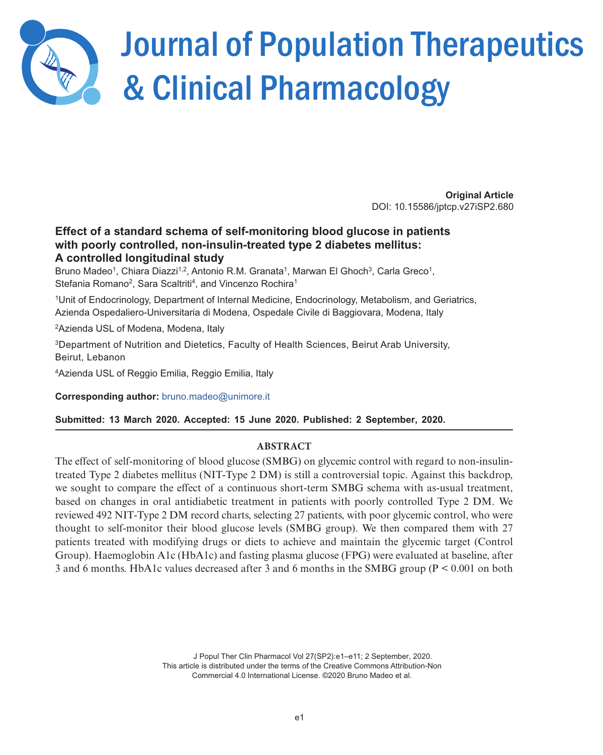

# Journal of Population Therapeutics & Clinical Pharmacology

**Original Article** DOI: 10.15586/jptcp.v27iSP2.680

# Effect of a standard schema of self-monitoring blood glucose in patients with poorly controlled, non-insulin-treated type 2 diabetes mellitus: A controlled longitudinal study

Bruno Madeo<sup>1</sup>, Chiara Diazzi<sup>1,2</sup>, Antonio R.M. Granata<sup>1</sup>, Marwan El Ghoch<sup>3</sup>, Carla Greco<sup>1</sup>, Stefania Romano<sup>2</sup>, Sara Scaltriti<sup>4</sup>, and Vincenzo Rochira<sup>1</sup>

<sup>1</sup>Unit of Endocrinology, Department of Internal Medicine, Endocrinology, Metabolism, and Geriatrics, Azienda Ospedaliero-Universitaria di Modena, Ospedale Civile di Baggiovara, Modena, Italy

<sup>2</sup>Azienda USL of Modena, Modena, Italy

<sup>3</sup>Department of Nutrition and Dietetics, Faculty of Health Sciences, Beirut Arab University, Beirut, Lebanon

<sup>4</sup>Azienda USL of Reggio Emilia, Reggio Emilia, Italy

Corresponding author: bruno.madeo@unimore.it

Submitted: 13 March 2020. Accepted: 15 June 2020. Published: 2 September, 2020.

# **ABSTRACT**

The effect of self-monitoring of blood glucose (SMBG) on glycemic control with regard to non-insulintreated Type 2 diabetes mellitus (NIT-Type 2 DM) is still a controversial topic. Against this backdrop, we sought to compare the effect of a continuous short-term SMBG schema with as-usual treatment, based on changes in oral antidiabetic treatment in patients with poorly controlled Type 2 DM. We reviewed 492 NIT-Type 2 DM record charts, selecting 27 patients, with poor glycemic control, who were thought to self-monitor their blood glucose levels (SMBG group). We then compared them with 27 patients treated with modifying drugs or diets to achieve and maintain the glycemic target (Control Group). Haemoglobin A1c (HbA1c) and fasting plasma glucose (FPG) were evaluated at baseline, after 3 and 6 months. HbA1c values decreased after 3 and 6 months in the SMBG group (P < 0.001 on both

> J Popul Ther Clin Pharmacol Vol 27(SP2):e1–e11; 2 September, 2020. This article is distributed under the terms of the Creative Commons Attribution-Non Commercial 4.0 International License. ©2020 Bruno Madeo et al.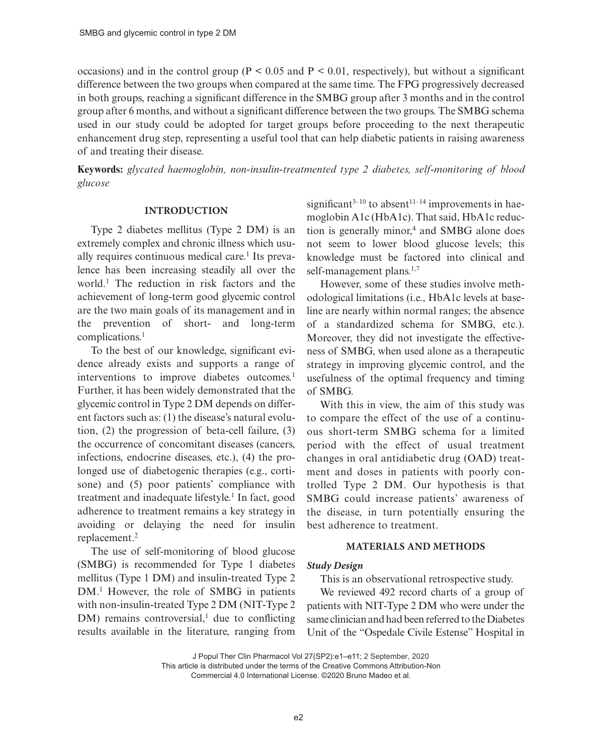occasions) and in the control group ( $P < 0.05$  and  $P < 0.01$ , respectively), but without a significant difference between the two groups when compared at the same time. The FPG progressively decreased in both groups, reaching a significant difference in the SMBG group after 3 months and in the control group after 6 months, and without a significant difference between the two groups. The SMBG schema used in our study could be adopted for target groups before proceeding to the next therapeutic enhancement drug step, representing a useful tool that can help diabetic patients in raising awareness of and treating their disease.

**Keywords:** *glycated haemoglobin, non-insulin-treatmented type 2 diabetes, self-monitoring of blood glucose*

#### **INTRODUCTION**

Type 2 diabetes mellitus (Type 2 DM) is an extremely complex and chronic illness which usually requires continuous medical care.<sup>1</sup> Its prevalence has been increasing steadily all over the world.1 The reduction in risk factors and the achievement of long-term good glycemic control are the two main goals of its management and in the prevention of short- and long-term complications.1

To the best of our knowledge, significant evidence already exists and supports a range of interventions to improve diabetes outcomes.<sup>1</sup> Further, it has been widely demonstrated that the glycemic control in Type 2 DM depends on different factors such as: (1) the disease's natural evolution, (2) the progression of beta-cell failure, (3) the occurrence of concomitant diseases (cancers, infections, endocrine diseases, etc.), (4) the prolonged use of diabetogenic therapies (e.g., cortisone) and (5) poor patients' compliance with treatment and inadequate lifestyle.<sup>1</sup> In fact, good adherence to treatment remains a key strategy in avoiding or delaying the need for insulin replacement.2

The use of self-monitoring of blood glucose (SMBG) is recommended for Type 1 diabetes mellitus (Type 1 DM) and insulin-treated Type 2 DM.<sup>1</sup> However, the role of SMBG in patients with non-insulin-treated Type 2 DM (NIT-Type 2  $DM$ ) remains controversial,<sup>1</sup> due to conflicting results available in the literature, ranging from

significant<sup>3–10</sup> to absent<sup>11–14</sup> improvements in haemoglobin A1c (HbA1c). That said, HbA1c reduction is generally minor,<sup>4</sup> and SMBG alone does not seem to lower blood glucose levels; this knowledge must be factored into clinical and self-management plans.<sup>1,7</sup>

However, some of these studies involve methodological limitations (i.e., HbA1c levels at baseline are nearly within normal ranges; the absence of a standardized schema for SMBG, etc.). Moreover, they did not investigate the effectiveness of SMBG, when used alone as a therapeutic strategy in improving glycemic control, and the usefulness of the optimal frequency and timing of SMBG.

With this in view, the aim of this study was to compare the effect of the use of a continuous short-term SMBG schema for a limited period with the effect of usual treatment changes in oral antidiabetic drug (OAD) treatment and doses in patients with poorly controlled Type 2 DM. Our hypothesis is that SMBG could increase patients' awareness of the disease, in turn potentially ensuring the best adherence to treatment.

#### **MATERIALS AND METHODS**

# *Study Design*

This is an observational retrospective study.

We reviewed 492 record charts of a group of patients with NIT-Type 2 DM who were under the same clinician and had been referred to the Diabetes Unit of the "Ospedale Civile Estense" Hospital in

J Popul Ther Clin Pharmacol Vol 27(SP2):e1–e11; 2 September, 2020

This article is distributed under the terms of the Creative Commons Attribution-Non

Commercial 4.0 International License. ©2020 Bruno Madeo et al.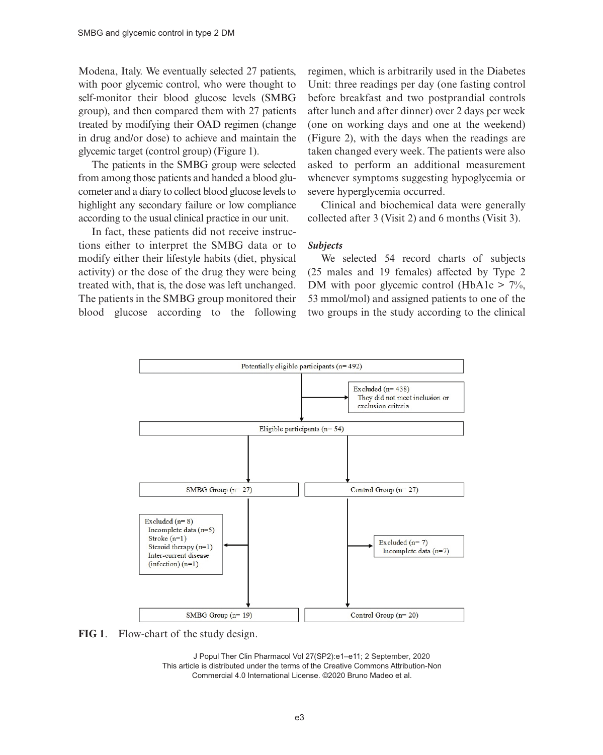Modena, Italy. We eventually selected 27 patients, with poor glycemic control, who were thought to self-monitor their blood glucose levels (SMBG group), and then compared them with 27 patients treated by modifying their OAD regimen (change in drug and/or dose) to achieve and maintain the glycemic target (control group) (Figure 1).

The patients in the SMBG group were selected from among those patients and handed a blood glucometer and a diary to collect blood glucose levels to highlight any secondary failure or low compliance according to the usual clinical practice in our unit.

In fact, these patients did not receive instructions either to interpret the SMBG data or to modify either their lifestyle habits (diet, physical activity) or the dose of the drug they were being treated with, that is, the dose was left unchanged. The patients in the SMBG group monitored their blood glucose according to the following regimen, which is arbitrarily used in the Diabetes Unit: three readings per day (one fasting control before breakfast and two postprandial controls after lunch and after dinner) over 2 days per week (one on working days and one at the weekend) (Figure 2), with the days when the readings are taken changed every week. The patients were also asked to perform an additional measurement whenever symptoms suggesting hypoglycemia or severe hyperglycemia occurred.

Clinical and biochemical data were generally collected after 3 (Visit 2) and 6 months (Visit 3).

#### *Subjects*

We selected 54 record charts of subjects (25 males and 19 females) affected by Type 2 DM with poor glycemic control (HbA1c  $> 7\%$ , 53 mmol/mol) and assigned patients to one of the two groups in the study according to the clinical



**FIG 1**. Flow-chart of the study design.

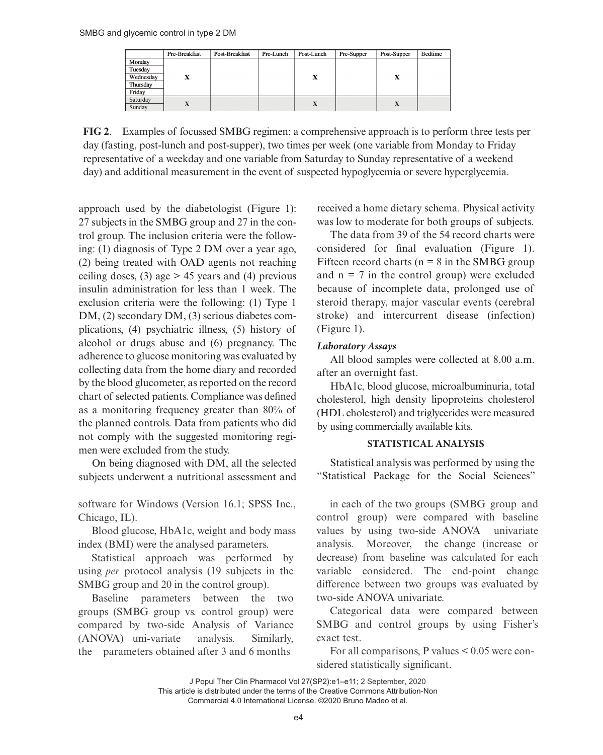|           | Pre-Breakfast | Post-Breakfast | Pre-Lunch | Post-Lunch | Pre-Supper | Post-Supper | <b>Bedtime</b> |
|-----------|---------------|----------------|-----------|------------|------------|-------------|----------------|
| Monday    |               |                |           |            |            |             |                |
| Tuesday   |               |                |           |            |            |             |                |
| Wednesday | x             |                |           | x          |            | X           |                |
| Thursday  |               |                |           |            |            |             |                |
| Friday    |               |                |           |            |            |             |                |
| Saturday  |               |                |           |            |            |             |                |
| Sunday    | x             |                |           | л          |            | X           |                |

**FIG 2**. Examples of focussed SMBG regimen: a comprehensive approach is to perform three tests per day (fasting, post-lunch and post-supper), two times per week (one variable from Monday to Friday representative of a weekday and one variable from Saturday to Sunday representative of a weekend day) and additional measurement in the event of suspected hypoglycemia or severe hyperglycemia.

approach used by the diabetologist (Figure 1): 27 subjects in the SMBG group and 27 in the control group. The inclusion criteria were the following: (1) diagnosis of Type 2 DM over a year ago, (2) being treated with OAD agents not reaching ceiling doses, (3) age  $> 45$  years and (4) previous insulin administration for less than 1 week. The exclusion criteria were the following: (1) Type 1 DM, (2) secondary DM, (3) serious diabetes complications, (4) psychiatric illness, (5) history of alcohol or drugs abuse and (6) pregnancy. The adherence to glucose monitoring was evaluated by collecting data from the home diary and recorded by the blood glucometer, as reported on the record chart of selected patients. Compliance was defined as a monitoring frequency greater than 80% of the planned controls. Data from patients who did not comply with the suggested monitoring regimen were excluded from the study.

On being diagnosed with DM, all the selected subjects underwent a nutritional assessment and

software for Windows (Version 16.1; SPSS Inc., Chicago, IL).

Blood glucose, HbA1c, weight and body mass index (BMI) were the analysed parameters.

Statistical approach was performed by using *per* protocol analysis (19 subjects in the SMBG group and 20 in the control group).

Baseline parameters between the two groups (SMBG group vs. control group) were compared by two-side Analysis of Variance (ANOVA) uni-variate analysis. Similarly, the parameters obtained after 3 and 6 months

received a home dietary schema. Physical activity was low to moderate for both groups of subjects.

The data from 39 of the 54 record charts were considered for final evaluation (Figure 1). Fifteen record charts ( $n = 8$  in the SMBG group and  $n = 7$  in the control group) were excluded because of incomplete data, prolonged use of steroid therapy, major vascular events (cerebral stroke) and intercurrent disease (infection) (Figure 1).

# *Laboratory Assays*

All blood samples were collected at 8.00 a.m. after an overnight fast.

HbA1c, blood glucose, microalbuminuria, total cholesterol, high density lipoproteins cholesterol (HDL cholesterol) and triglycerides were measured by using commercially available kits.

# **STATISTICAL ANALYSIS**

Statistical analysis was performed by using the "Statistical Package for the Social Sciences"

in each of the two groups (SMBG group and control group) were compared with baseline values by using two-side ANOVA univariate analysis. Moreover, the change (increase or decrease) from baseline was calculated for each variable considered. The end-point change difference between two groups was evaluated by two-side ANOVA univariate.

Categorical data were compared between SMBG and control groups by using Fisher's exact test.

For all comparisons, P values < 0.05 were considered statistically significant.

J Popul Ther Clin Pharmacol Vol 27(SP2):e1–e11; 2 September, 2020 This article is distributed under the terms of the Creative Commons Attribution-Non Commercial 4.0 International License. ©2020 Bruno Madeo et al.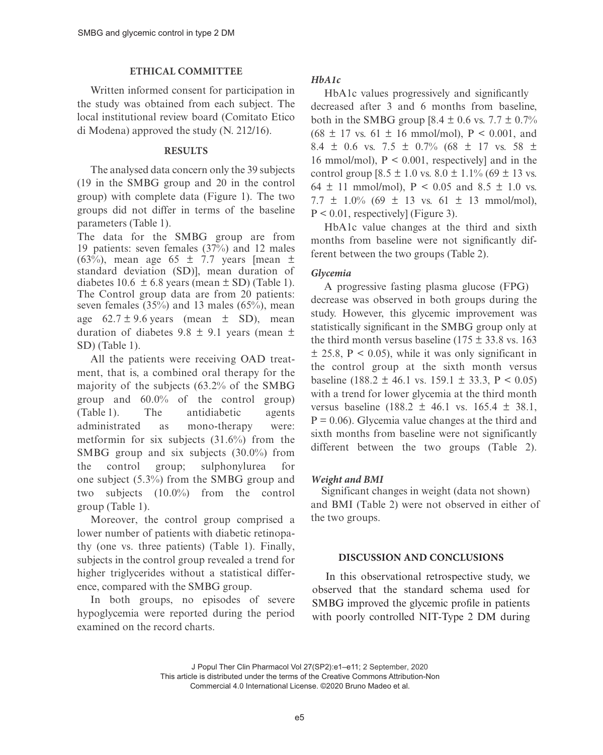# **ETHICAL COMMITTEE**

Written informed consent for participation in the study was obtained from each subject. The local institutional review board (Comitato Etico di Modena) approved the study (N. 212/16).

# **RESULTS**

The analysed data concern only the 39 subjects (19 in the SMBG group and 20 in the control group) with complete data (Figure 1). The two groups did not differ in terms of the baseline parameters (Table 1).

The data for the SMBG group are from 19 patients: seven females (37%) and 12 males (63%), mean age 65  $\pm$  7.7 years [mean  $\pm$ standard deviation (SD)], mean duration of diabetes 10.6  $\pm$  6.8 years (mean  $\pm$  SD) (Table 1). The Control group data are from 20 patients: seven females (35%) and 13 males (65%), mean age  $62.7 \pm 9.6$  years (mean  $\pm$  SD), mean duration of diabetes  $9.8 \pm 9.1$  years (mean  $\pm$ SD) (Table 1).

All the patients were receiving OAD treatment, that is, a combined oral therapy for the majority of the subjects (63.2% of the SMBG group and 60.0% of the control group) (Table 1). The antidiabetic agents administrated as mono-therapy were: metformin for six subjects (31.6%) from the SMBG group and six subjects (30.0%) from the control group; sulphonylurea for one subject (5.3%) from the SMBG group and two subjects (10.0%) from the control group (Table 1).

Moreover, the control group comprised a lower number of patients with diabetic retinopathy (one vs. three patients) (Table 1). Finally, subjects in the control group revealed a trend for higher triglycerides without a statistical difference, compared with the SMBG group.

In both groups, no episodes of severe hypoglycemia were reported during the period examined on the record charts.

# *HbA1c*

HbA1c values progressively and significantly decreased after 3 and 6 months from baseline, both in the SMBG group  $[8.4 \pm 0.6 \text{ vs. } 7.7 \pm 0.7\%]$  $(68 \pm 17 \text{ vs. } 61 \pm 16 \text{ mmol/mol})$ ,  $P < 0.001$ , and 8.4  $\pm$  0.6 vs. 7.5  $\pm$  0.7% (68  $\pm$  17 vs. 58  $\pm$ 16 mmol/mol),  $P \le 0.001$ , respectivelyl and in the control group  $[8.5 \pm 1.0 \text{ vs. } 8.0 \pm 1.1\%$  (69  $\pm$  13 vs. 64  $\pm$  11 mmol/mol), P < 0.05 and 8.5  $\pm$  1.0 vs.  $7.7 \pm 1.0\%$  (69  $\pm$  13 vs. 61  $\pm$  13 mmol/mol),  $P < 0.01$ , respectively] (Figure 3).

HbA1c value changes at the third and sixth months from baseline were not significantly different between the two groups (Table 2).

# *Glycemia*

A progressive fasting plasma glucose (FPG) decrease was observed in both groups during the study. However, this glycemic improvement was statistically significant in the SMBG group only at the third month versus baseline ( $175 \pm 33.8$  vs. 163  $\pm$  25.8, P < 0.05), while it was only significant in the control group at the sixth month versus baseline (188.2  $\pm$  46.1 vs. 159.1  $\pm$  33.3, P < 0.05) with a trend for lower glycemia at the third month versus baseline  $(188.2 \pm 46.1 \text{ vs. } 165.4 \pm 38.1)$ .  $P = 0.06$ ). Glycemia value changes at the third and sixth months from baseline were not significantly different between the two groups (Table 2).

# *Weight and BMI*

 Significant changes in weight (data not shown) and BMI (Table 2) were not observed in either of the two groups.

# **DISCUSSION AND CONCLUSIONS**

In this observational retrospective study, we observed that the standard schema used for SMBG improved the glycemic profile in patients with poorly controlled NIT-Type 2 DM during

J Popul Ther Clin Pharmacol Vol 27(SP2):e1–e11; 2 September, 2020 This article is distributed under the terms of the Creative Commons Attribution-Non Commercial 4.0 International License. ©2020 Bruno Madeo et al.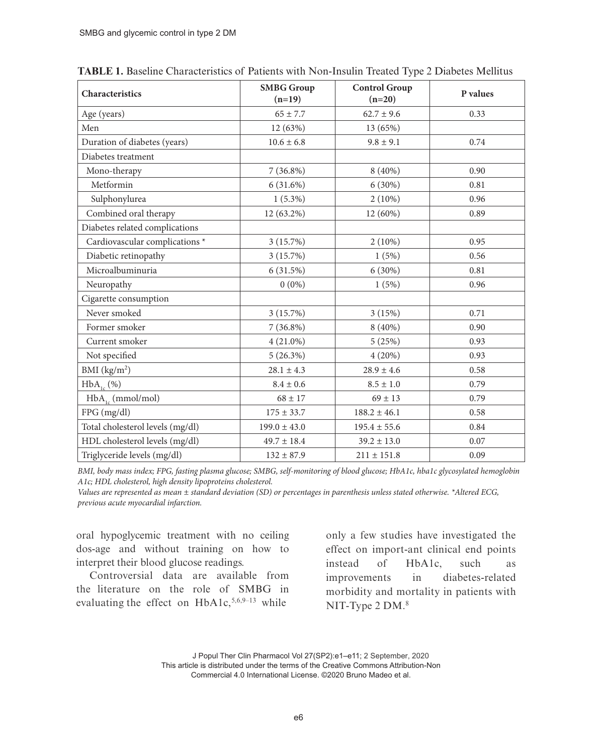| Characteristics                  | <b>SMBG</b> Group<br>$(n=19)$ | <b>Control Group</b><br>$(n=20)$ | P values |  |
|----------------------------------|-------------------------------|----------------------------------|----------|--|
| Age (years)                      | $65 \pm 7.7$                  | $62.7 \pm 9.6$                   | 0.33     |  |
| Men                              | 12 (63%)                      | 13 (65%)                         |          |  |
| Duration of diabetes (years)     | $10.6 \pm 6.8$                | $9.8 \pm 9.1$                    | 0.74     |  |
| Diabetes treatment               |                               |                                  |          |  |
| Mono-therapy                     | $7(36.8\%)$                   | 8 (40%)                          | 0.90     |  |
| Metformin                        | 6(31.6%)                      | $6(30\%)$                        | 0.81     |  |
| Sulphonylurea                    | $1(5.3\%)$                    | $2(10\%)$                        | 0.96     |  |
| Combined oral therapy            | 12 (63.2%)                    | 12 (60%)                         | 0.89     |  |
| Diabetes related complications   |                               |                                  |          |  |
| Cardiovascular complications *   | 3(15.7%)                      | $2(10\%)$                        | 0.95     |  |
| Diabetic retinopathy             | 3(15.7%)                      | 1(5%)                            | 0.56     |  |
| Microalbuminuria                 | 6(31.5%)                      | $6(30\%)$                        | 0.81     |  |
| Neuropathy                       | $0(0\%)$                      | 1(5%)                            | 0.96     |  |
| Cigarette consumption            |                               |                                  |          |  |
| Never smoked                     | 3(15.7%)                      | 3(15%)                           | 0.71     |  |
| Former smoker                    | $7(36.8\%)$                   | $8(40\%)$                        | 0.90     |  |
| Current smoker                   | $4(21.0\%)$                   | 5(25%)                           | 0.93     |  |
| Not specified                    | 5(26.3%)                      | 4(20%)                           | 0.93     |  |
| BMI $(kg/m2)$                    | $28.1 \pm 4.3$                | $28.9 \pm 4.6$                   | 0.58     |  |
| $HbA_{1c}$ (%)                   | $8.4 \pm 0.6$                 | $8.5 \pm 1.0$                    | 0.79     |  |
| $HbA_{1c}$ (mmol/mol)            | $68 \pm 17$                   | $69 \pm 13$                      | 0.79     |  |
| FPG (mg/dl)                      | $175 \pm 33.7$                | $188.2 \pm 46.1$                 | 0.58     |  |
| Total cholesterol levels (mg/dl) | $199.0 \pm 43.0$              | $195.4 \pm 55.6$                 | 0.84     |  |
| HDL cholesterol levels (mg/dl)   | $49.7 \pm 18.4$               | $39.2 \pm 13.0$                  | 0.07     |  |
| Triglyceride levels (mg/dl)      | $132 \pm 87.9$                | $211 \pm 151.8$                  | 0.09     |  |

**TABLE 1.** Baseline Characteristics of Patients with Non-Insulin Treated Type 2 Diabetes Mellitus

*BMI, body mass index; FPG, fasting plasma glucose; SMBG, self-monitoring of blood glucose; HbA1c, hba1c glycosylated hemoglobin A1c; HDL cholesterol, high density lipoproteins cholesterol.*

*Values are represented as mean ± standard deviation (SD) or percentages in parenthesis unless stated otherwise. \*Altered ECG, previous acute myocardial infarction.*

oral hypoglycemic treatment with no ceiling dos-age and without training on how to interpret their blood glucose readings.

Controversial data are available from the literature on the role of SMBG in evaluating the effect on  $HbA1c,$ <sup>5,6,9–13</sup> while

only a few studies have investigated the effect on import-ant clinical end points instead of HbA1c, such as improvements in diabetes-related morbidity and mortality in patients with NIT-Type 2 DM.<sup>8</sup>

J Popul Ther Clin Pharmacol Vol 27(SP2):e1–e11; 2 September, 2020 This article is distributed under the terms of the Creative Commons Attribution-Non Commercial 4.0 International License. ©2020 Bruno Madeo et al.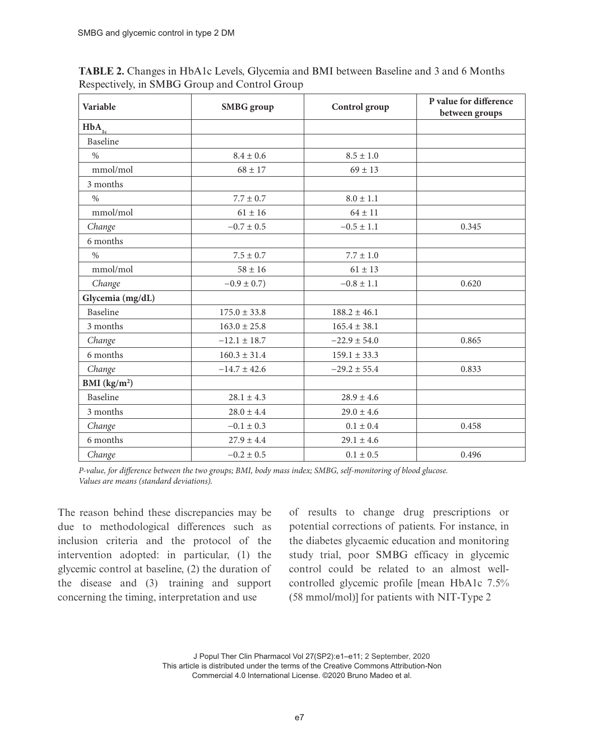| Variable                   | <b>SMBG</b> group | Control group    | P value for difference<br>between groups |  |
|----------------------------|-------------------|------------------|------------------------------------------|--|
| $HbA_{1c}$                 |                   |                  |                                          |  |
| Baseline                   |                   |                  |                                          |  |
| $\%$                       | $8.4 \pm 0.6$     | $8.5 \pm 1.0$    |                                          |  |
| mmol/mol                   | $68 \pm 17$       | $69 \pm 13$      |                                          |  |
| 3 months                   |                   |                  |                                          |  |
| $\%$                       | $7.7 \pm 0.7$     | $8.0 \pm 1.1$    |                                          |  |
| mmol/mol                   | $61 \pm 16$       | $64 \pm 11$      |                                          |  |
| Change                     | $-0.7 \pm 0.5$    | $-0.5 \pm 1.1$   | 0.345                                    |  |
| 6 months                   |                   |                  |                                          |  |
| $\%$                       | $7.5 \pm 0.7$     | $7.7 \pm 1.0$    |                                          |  |
| mmol/mol                   | $58 \pm 16$       | $61 \pm 13$      |                                          |  |
| Change                     | $-0.9 \pm 0.7$ )  | $-0.8 \pm 1.1$   | 0.620                                    |  |
| Glycemia (mg/dL)           |                   |                  |                                          |  |
| Baseline                   | $175.0 \pm 33.8$  | $188.2 \pm 46.1$ |                                          |  |
| 3 months                   | $163.0 \pm 25.8$  | $165.4 \pm 38.1$ |                                          |  |
| Change                     | $-12.1 \pm 18.7$  | $-22.9 \pm 54.0$ | 0.865                                    |  |
| 6 months                   | $160.3 \pm 31.4$  | $159.1 \pm 33.3$ |                                          |  |
| Change                     | $-14.7 \pm 42.6$  | $-29.2 \pm 55.4$ | 0.833                                    |  |
| BMI $(kg/m2)$              |                   |                  |                                          |  |
| Baseline<br>$28.1 \pm 4.3$ |                   | $28.9 \pm 4.6$   |                                          |  |
| 3 months<br>$28.0 \pm 4.4$ |                   | $29.0 \pm 4.6$   |                                          |  |
| $-0.1 \pm 0.3$<br>Change   |                   | $0.1 \pm 0.4$    | 0.458                                    |  |
| 6 months                   | $27.9 \pm 4.4$    | $29.1 \pm 4.6$   |                                          |  |
| Change                     | $-0.2 \pm 0.5$    | $0.1 \pm 0.5$    | 0.496                                    |  |

**TABLE 2.** Changes in HbA1c Levels, Glycemia and BMI between Baseline and 3 and 6 Months Respectively, in SMBG Group and Control Group

*P-value, for difference between the two groups; BMI, body mass index; SMBG, self-monitoring of blood glucose. Values are means (standard deviations).*

The reason behind these discrepancies may be due to methodological differences such as inclusion criteria and the protocol of the intervention adopted: in particular, (1) the glycemic control at baseline, (2) the duration of the disease and (3) training and support concerning the timing, interpretation and use

of results to change drug prescriptions or potential corrections of patients. For instance, in the diabetes glycaemic education and monitoring study trial, poor SMBG efficacy in glycemic control could be related to an almost wellcontrolled glycemic profile [mean HbA1c 7.5% (58 mmol/mol)] for patients with NIT-Type 2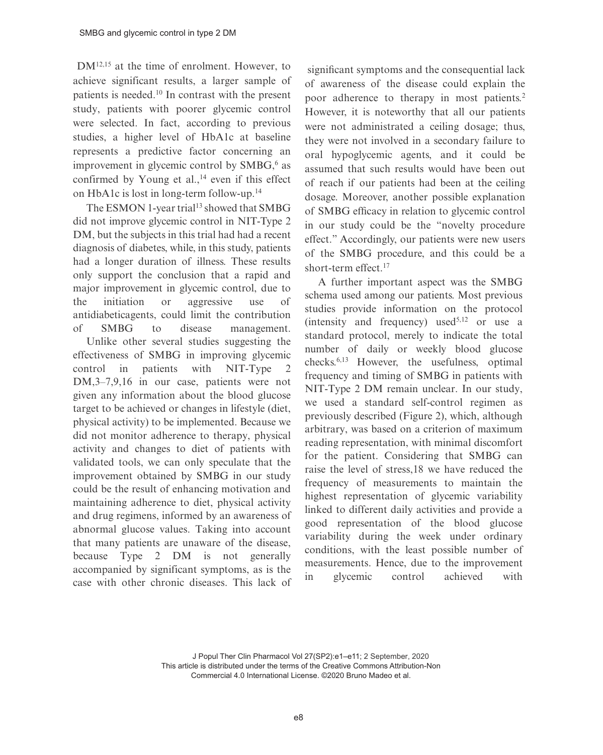DM12,15 at the time of enrolment. However, to achieve significant results, a larger sample of patients is needed.<sup>10</sup> In contrast with the present study, patients with poorer glycemic control were selected. In fact, according to previous studies, a higher level of HbA1c at baseline represents a predictive factor concerning an improvement in glycemic control by  $SMBG<sub>2</sub>$ <sup>6</sup> as confirmed by Young et al., $^{14}$  even if this effect on HbA1c is lost in long-term follow-up.<sup>14</sup>

The ESMON 1-year trial<sup>13</sup> showed that SMBG did not improve glycemic control in NIT-Type 2 DM, but the subjects in this trial had had a recent diagnosis of diabetes, while, in this study, patients had a longer duration of illness. These results only support the conclusion that a rapid and major improvement in glycemic control, due to the initiation or aggressive use of antidiabeticagents, could limit the contribution of SMBG to disease management.

Unlike other several studies suggesting the effectiveness of SMBG in improving glycemic control in patients with NIT-Type 2 DM,3–7,9,16 in our case, patients were not given any information about the blood glucose target to be achieved or changes in lifestyle (diet, physical activity) to be implemented. Because we did not monitor adherence to therapy, physical activity and changes to diet of patients with validated tools, we can only speculate that the improvement obtained by SMBG in our study could be the result of enhancing motivation and maintaining adherence to diet, physical activity and drug regimens, informed by an awareness of abnormal glucose values. Taking into account that many patients are unaware of the disease, because Type 2 DM is not generally accompanied by significant symptoms, as is the case with other chronic diseases. This lack of

significant symptoms and the consequential lack of awareness of the disease could explain the poor adherence to therapy in most patients.<sup>2</sup> However, it is noteworthy that all our patients were not administrated a ceiling dosage; thus, they were not involved in a secondary failure to oral hypoglycemic agents, and it could be assumed that such results would have been out of reach if our patients had been at the ceiling dosage. Moreover, another possible explanation of SMBG efficacy in relation to glycemic control in our study could be the "novelty procedure effect." Accordingly, our patients were new users of the SMBG procedure, and this could be a short-term effect.<sup>17</sup>

A further important aspect was the SMBG schema used among our patients. Most previous studies provide information on the protocol (intensity and frequency) used<sup>5,12</sup> or use a standard protocol, merely to indicate the total number of daily or weekly blood glucose checks.6,13 However, the usefulness, optimal frequency and timing of SMBG in patients with NIT-Type 2 DM remain unclear. In our study, we used a standard self-control regimen as previously described (Figure 2), which, although arbitrary, was based on a criterion of maximum reading representation, with minimal discomfort for the patient. Considering that SMBG can raise the level of stress,18 we have reduced the frequency of measurements to maintain the highest representation of glycemic variability linked to different daily activities and provide a good representation of the blood glucose variability during the week under ordinary conditions, with the least possible number of measurements. Hence, due to the improvement in glycemic control achieved with

J Popul Ther Clin Pharmacol Vol 27(SP2):e1–e11; 2 September, 2020 This article is distributed under the terms of the Creative Commons Attribution-Non Commercial 4.0 International License. ©2020 Bruno Madeo et al.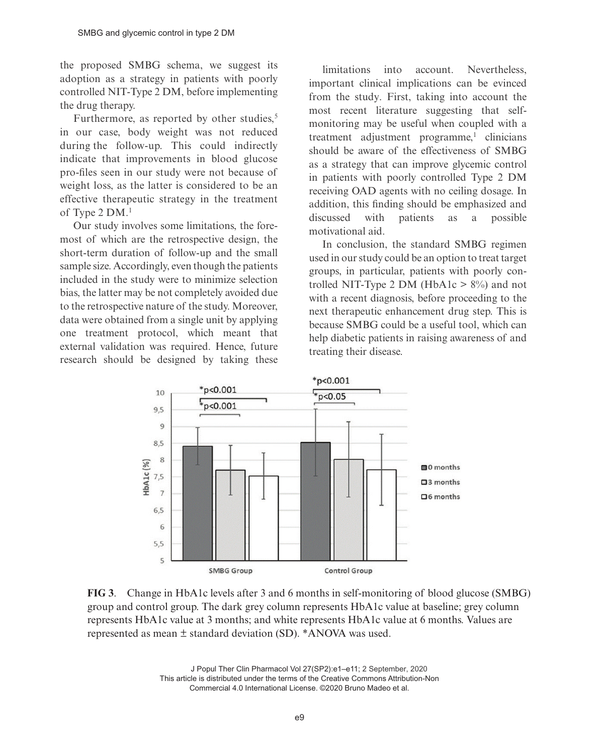the proposed SMBG schema, we suggest its adoption as a strategy in patients with poorly controlled NIT-Type 2 DM, before implementing the drug therapy.

Furthermore, as reported by other studies, $5$ in our case, body weight was not reduced during the follow-up. This could indirectly indicate that improvements in blood glucose pro-files seen in our study were not because of weight loss, as the latter is considered to be an effective therapeutic strategy in the treatment of Type 2 DM.<sup>1</sup>

Our study involves some limitations, the foremost of which are the retrospective design, the short-term duration of follow-up and the small sample size. Accordingly, even though the patients included in the study were to minimize selection bias, the latter may be not completely avoided due to the retrospective nature of the study. Moreover, data were obtained from a single unit by applying one treatment protocol, which meant that external validation was required. Hence, future research should be designed by taking these

 limitations into account. Nevertheless, important clinical implications can be evinced from the study. First, taking into account the most recent literature suggesting that selfmonitoring may be useful when coupled with a  $t$ reatment adjustment programme,<sup>1</sup> clinicians should be aware of the effectiveness of SMBG as a strategy that can improve glycemic control in patients with poorly controlled Type 2 DM receiving OAD agents with no ceiling dosage. In addition, this finding should be emphasized and discussed with patients as a possible motivational aid.

In conclusion, the standard SMBG regimen used in our study could be an option to treat target groups, in particular, patients with poorly controlled NIT-Type 2 DM (HbA1c  $> 8\%$ ) and not with a recent diagnosis, before proceeding to the next therapeutic enhancement drug step. This is because SMBG could be a useful tool, which can help diabetic patients in raising awareness of and treating their disease.



**FIG 3**. Change in HbA1c levels after 3 and 6 months in self-monitoring of blood glucose (SMBG) group and control group. The dark grey column represents HbA1c value at baseline; grey column represents HbA1c value at 3 months; and white represents HbA1c value at 6 months. Values are represented as mean ± standard deviation (SD). \*ANOVA was used.

J Popul Ther Clin Pharmacol Vol 27(SP2):e1–e11; 2 September, 2020 This article is distributed under the terms of the Creative Commons Attribution-Non Commercial 4.0 International License. ©2020 Bruno Madeo et al.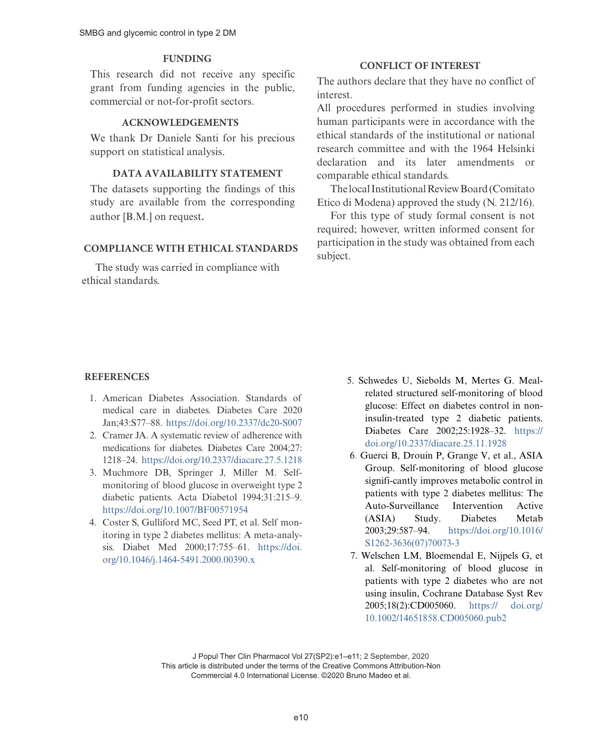# **FUNDING**

This research did not receive any specific grant from funding agencies in the public, commercial or not-for-profit sectors.

# **ACKNOWLEDGEMENTS**

We thank Dr Daniele Santi for his precious support on statistical analysis.

#### **DATA AVAILABILITY STATEMENT**

The datasets supporting the findings of this study are available from the corresponding author [B.M.] on request.

# **COMPLIANCE [WITH ETHICAL STANDARDS](https://doi.org/10.2337/dc20-S007)**

The study was carried in compliance with ethical standards.

## **CONFLICT OF INTEREST**

The authors declare that they have no c[onflict](https://doi.org/10.1007/s00125-005-0083-5) of i[nterest.](https://doi.org/10.1007/s00125-005-0083-5)

All procedures performed in studies involving human participants were in accordance with the ethical standards of the institutional or national research committee and with the 1964 Helsinki declarati[on and its later amendments](https://doi.org/10.1016/j.diabres.2009.10.021) or comparable ethical standards.

The local Institutional Review Board (Comitato Etico di Modena) approved the study (N. 212/16).

For this type of study formal consent is not requ[ired; however, written informed](https://doi.org/10.2337/dc13-0092) consent for participation in the study was obtained from each subject.

# **REFERENCES**

- 1[. American Diabetes Association. S](https://doi.org/10.1046/j.1464-5491.2000.00390.x)tandards of medical care in diabetes. Diabetes Care 2020 Jan;43:S77–88. https://doi.org/10.2337/dc20-S007
- 2. Cramer JA. A systematic review of adherence with medications for diabetes. Diabetes Care 2004;27: [1218–24. https://doi.org/10.2337/diacare](https://doi.org/10.2337/diacare.25.11.1928).27.5.1218
- 3. Muchmore DB, Springer J, Miller M. Selfmonitoring of blood glucose in overweight type 2 diabetic patients. Acta Diabetol 1994;31:215–9. https://doi.org/10.1007/BF00571954
- 4. Coster S, Gulliford MC, Seed PT, et al. Self monitoring in type 2 diabete[s mellitus: A meta-analy](https://doi.org/10.1016/S1262-3636(07)70073-3)[sis. Diabet Med 20](https://doi.org/10.1016/S1262-3636(07)70073-3)00;17:755–61. https://doi. org/10.1046/j.1464-5491.2000.00390.x
- [5. Schwedes](https://doi.org/10.1136/bmj.39247.447431.BE) U, Siebolds M, Mertes G. Mealrelated structured self-monitoring of blood glucose: Effect on diabetes control in noninsulin-treated type 2 diabetic patients. Diabetes Care 2002;25:1928–32. https:// doi.org/10.2337/diacare.25.11.1[928](https://doi.org/10.1136/bmj.39534.571644.BE)
- [6. Guerci B, Drouin P, Grange](https://doi.org/10.1136/bmj.39534.571644.BE) V, et al., ASIA Group. Self-monitoring of blood glucose signifi-cantly improves metabolic control in patients with type 2 diabetes mellitus: The Auto-Surveillance Intervention Active (ASIA) Study. Dia[betes M](https://doi.org/10.1001/jamainternmed.2017.1233)etab [2003;29:587–94. https://d](https://doi.org/10.1001/jamainternmed.2017.1233)oi.org/10.1016/ S1262-3636(07)70073-3
- 7. Welschen LM, Bloemendal E, Nijpels G, et al. Self-monitoring of blood glucose in patients with type 2 diabetes who are not using insulin, Cochrane Database Syst Rev 2005;18(2):CD005060. https:// doi.org/ 10.1002/14651858.CD005060.pub2

J Popul Ther Clin Pharmacol Vol 27(SP2):e1–e11; 2 September, 2020 This article is distributed under the terms of the Creative Commons Attribution-Non Commercial 4.0 International License. ©2020 Bruno Madeo et al.